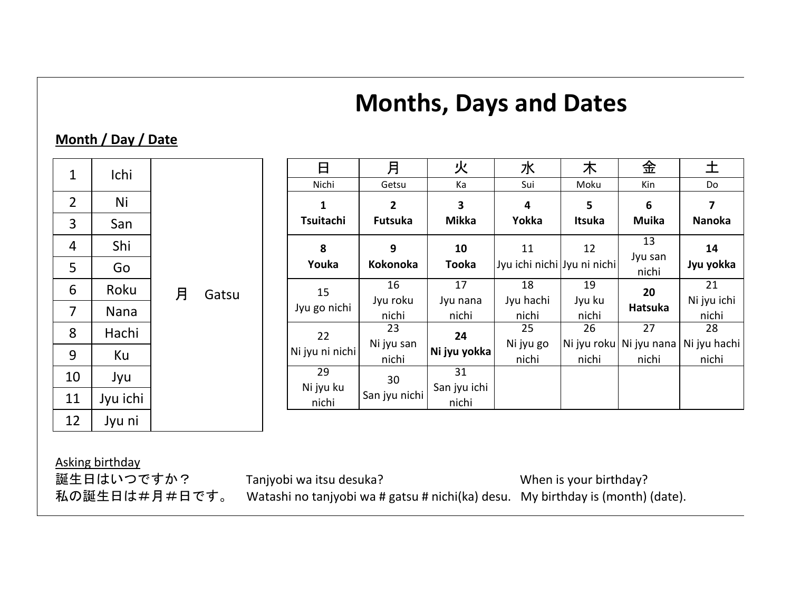# **Months, Days and Dates**

## **Month / Day / Date**

| $\mathbf 1$    | Ichi     |   |       | 日               | 月               | 火            | 水                           | 木             | 金                | 土                                        |
|----------------|----------|---|-------|-----------------|-----------------|--------------|-----------------------------|---------------|------------------|------------------------------------------|
|                |          |   |       | Nichi           | Getsu           | Ka           | Sui                         | Moku          | Kin              | Do                                       |
| $\overline{2}$ | Ni       |   |       | 1               | 2               | 3            | 4                           | 5             | 6                | $\overline{\mathbf{z}}$                  |
| 3              | San      |   |       | Tsuitachi       | <b>Futsuka</b>  | <b>Mikka</b> | Yokka                       | <b>Itsuka</b> | <b>Muika</b>     | Nanoka                                   |
| 4              | Shi      |   |       | 8               | 9               | 10           | 11                          | 12            | 13               | 14                                       |
| 5              | Go       |   |       | Youka           | <b>Kokonoka</b> | <b>Tooka</b> | Jyu ichi nichi Jyu ni nichi |               | Jyu san<br>nichi | Jyu yokka                                |
| 6              | Roku     | 月 | Gatsu | 15              | 16              | 17           | 18                          | 19            | 20<br>Hatsuka    | 21                                       |
|                |          |   |       | Jyu go nichi    | Jyu roku        | Jyu nana     | Jyu hachi                   | Jyu ku        |                  | Ni jyu ichi                              |
| 7              | Nana     |   |       |                 | nichi           | nichi        | nichi                       | nichi         |                  | nichi                                    |
| 8              | Hachi    |   |       | 22              | 23              | 24           | 25                          | 26            | 27               | 28                                       |
|                |          |   |       | Ni jyu ni nichi | Ni jyu san      | Ni jyu yokka | Ni jyu go                   |               |                  | Ni jyu roku   Ni jyu nana   Ni jyu hachi |
| 9              | Ku       |   |       |                 | nichi           |              | nichi                       | nichi         | nichi            | nichi                                    |
| 10             | Jyu      |   |       | 29              | 30              | 31           |                             |               |                  |                                          |
|                |          |   |       | Ni jyu ku       | San jyu nichi   | San jyu ichi |                             |               |                  |                                          |
| 11             | Jyu ichi |   |       | nichi           |                 | nichi        |                             |               |                  |                                          |
| 12             | Jyu ni   |   |       |                 |                 |              |                             |               |                  |                                          |

Asking birthday

誕生日はいつですか? Tanjyobi wa itsu desuka? Vhen is your birthday? 私の誕生日は#月#日です。 Watashi no tanjyobi wa # gatsu # nichi(ka) desu. My birthday is (month) (date).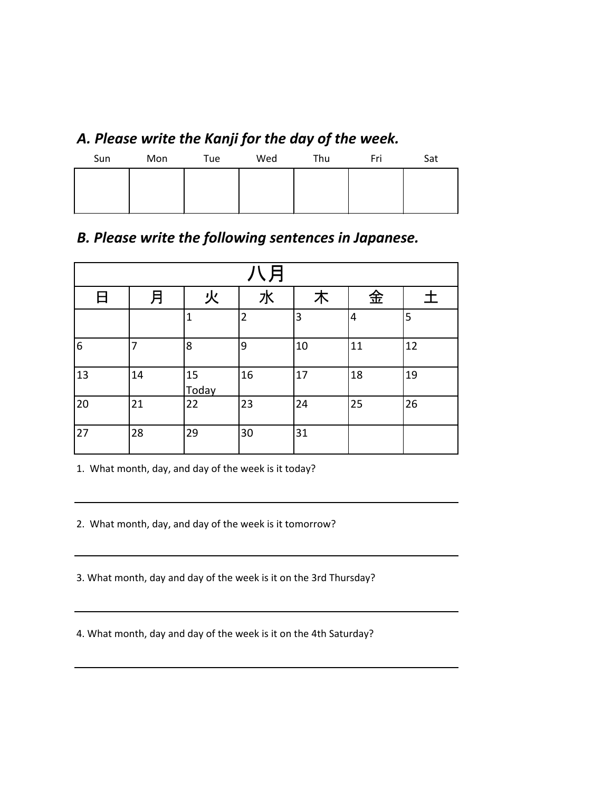# *A. Please write the Kanji for the day of the week.*

| Sun | Mon | Tue | Wed | Thu | Fri | Sat |
|-----|-----|-----|-----|-----|-----|-----|
|     |     |     |     |     |     |     |
|     |     |     |     |     |     |     |
|     |     |     |     |     |     |     |

# *B. Please write the following sentences in Japanese.*

| '\月 |    |              |                |    |    |    |  |  |
|-----|----|--------------|----------------|----|----|----|--|--|
| 日   | 月  | 火            | 水              | 木  | 金  | 土  |  |  |
|     |    | $\mathbf{1}$ | $\overline{2}$ | 3  | 4  | 5  |  |  |
| 6   | 7  | 8            | 9              | 10 | 11 | 12 |  |  |
| 13  | 14 | 15<br>Today  | 16             | 17 | 18 | 19 |  |  |
| 20  | 21 | 22           | 23             | 24 | 25 | 26 |  |  |
| 27  | 28 | 29           | 30             | 31 |    |    |  |  |

1. What month, day, and day of the week is it today?

2. What month, day, and day of the week is it tomorrow?

3. What month, day and day of the week is it on the 3rd Thursday?

4. What month, day and day of the week is it on the 4th Saturday?